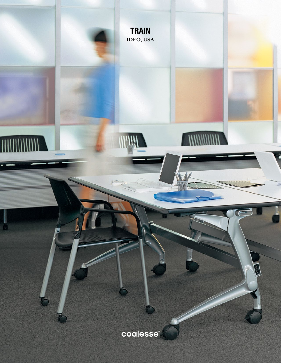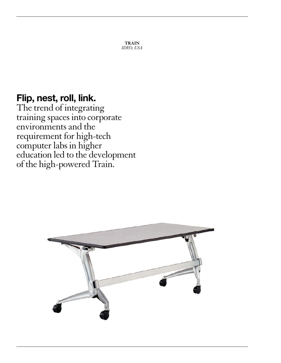**TRAIN** *IDEO, USA*

# Flip, nest, roll, link.

The trend of integrating training spaces into corporate environments and the requirement for high-tech computer labs in higher education led to the development of the high-powered Train.

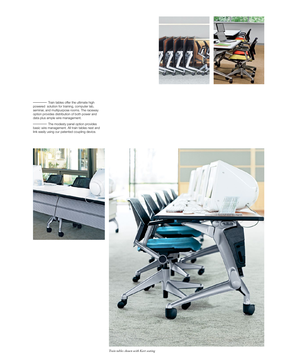



- Train tables offer the ultimate high powered solution for training, computer lab, seminar, and multipurpose rooms. The raceway option provides distribution of both power and data plus ample wire management.

The modesty panel option provides basic wire management. All train tables nest and link easily using our patented coupling device.